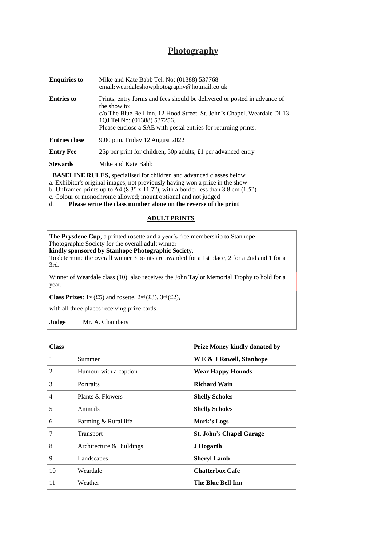# **Photography**

| <b>Enquiries to</b>  | Mike and Kate Babb Tel. No: (01388) 537768<br>email: weardaleshowphotography@hotmail.co.uk                                                                                                                                                                           |  |
|----------------------|----------------------------------------------------------------------------------------------------------------------------------------------------------------------------------------------------------------------------------------------------------------------|--|
| <b>Entries to</b>    | Prints, entry forms and fees should be delivered or posted in advance of<br>the show to:<br>c/o The Blue Bell Inn, 12 Hood Street, St. John's Chapel, Weardale DL13<br>1QJ Tel No: (01388) 537256.<br>Please enclose a SAE with postal entries for returning prints. |  |
| <b>Entries close</b> | 9.00 p.m. Friday 12 August 2022                                                                                                                                                                                                                                      |  |
| <b>Entry Fee</b>     | 25p per print for children, 50p adults, £1 per advanced entry                                                                                                                                                                                                        |  |
| <b>Stewards</b>      | Mike and Kate Babb                                                                                                                                                                                                                                                   |  |

**BASELINE RULES,** specialised for children and advanced classes below

a. Exhibitor's original images, not previously having won a prize in the show

b. Unframed prints up to A4  $(8.3" \times 11.7")$ , with a border less than 3.8 cm  $(1.5")$ 

c. Colour or monochrome allowed; mount optional and not judged<br>d. **Please write the class number alone on the reverse of the** 

d. **Please write the class number alone on the reverse of the print**

# **ADULT PRINTS**

**The Prysdene Cup**, a printed rosette and a year's free membership to Stanhope Photographic Society for the overall adult winner **kindly sponsored by Stanhope Photographic Society.**

To determine the overall winner 3 points are awarded for a 1st place, 2 for a 2nd and 1 for a 3rd.

Winner of Weardale class (10) also receives the John Taylor Memorial Trophy to hold for a year.

**Class Prizes**:  $1^{st}$  (£5) and rosette,  $2^{nd}$  (£3),  $3^{rd}$  (£2),

with all three places receiving prize cards.

**Judge** | Mr. A. Chambers

| <b>Class</b>   |                          | <b>Prize Money kindly donated by</b> |
|----------------|--------------------------|--------------------------------------|
| 1              | Summer                   | W E & J Rowell, Stanhope             |
| $\overline{2}$ | Humour with a caption    | <b>Wear Happy Hounds</b>             |
| 3              | Portraits                | <b>Richard Wain</b>                  |
| $\overline{4}$ | Plants & Flowers         | <b>Shelly Scholes</b>                |
| 5              | Animals                  | <b>Shelly Scholes</b>                |
| 6              | Farming & Rural life     | Mark's Logs                          |
| 7              | Transport                | <b>St. John's Chapel Garage</b>      |
| 8              | Architecture & Buildings | J Hogarth                            |
| 9              | Landscapes               | <b>Sheryl Lamb</b>                   |
| 10             | Weardale                 | <b>Chatterbox Cafe</b>               |
| 11             | Weather                  | The Blue Bell Inn                    |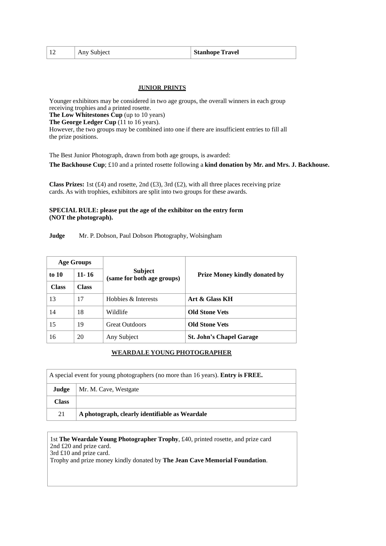|  | Any Subject | <b>Stanhope Travel</b> |
|--|-------------|------------------------|
|--|-------------|------------------------|

## **JUNIOR PRINTS**

Younger exhibitors may be considered in two age groups, the overall winners in each group receiving trophies and a printed rosette.

**The Low Whitestones Cup** (up to 10 years)

**The George Ledger Cup** (11 to 16 years).

However, the two groups may be combined into one if there are insufficient entries to fill all the prize positions.

The Best Junior Photograph, drawn from both age groups, is awarded:

**The Backhouse Cup**; £10 and a printed rosette following a **kind donation by Mr. and Mrs. J. Backhouse.**

**Class Prizes:** 1st (£4) and rosette, 2nd (£3), 3rd (£2), with all three places receiving prize cards. As with trophies, exhibitors are split into two groups for these awards.

#### **SPECIAL RULE: please put the age of the exhibitor on the entry form (NOT the photograph).**

**Judge** Mr. P. Dobson, Paul Dobson Photography, Wolsingham

| <b>Age Groups</b> |              |                                              |                                      |  |
|-------------------|--------------|----------------------------------------------|--------------------------------------|--|
| to $10$           | $11 - 16$    | <b>Subject</b><br>(same for both age groups) | <b>Prize Money kindly donated by</b> |  |
| <b>Class</b>      | <b>Class</b> |                                              |                                      |  |
| 13                | 17           | Hobbies & Interests                          | Art & Glass KH                       |  |
| 14                | 18           | Wildlife                                     | <b>Old Stone Vets</b>                |  |
| 15                | 19           | <b>Great Outdoors</b>                        | <b>Old Stone Vets</b>                |  |
| 16                | 20           | Any Subject                                  | <b>St. John's Chapel Garage</b>      |  |

#### **WEARDALE YOUNG PHOTOGRAPHER**

| A special event for young photographers (no more than 16 years). Entry is FREE. |                                                |
|---------------------------------------------------------------------------------|------------------------------------------------|
| Judge                                                                           | Mr. M. Cave, Westgate                          |
| <b>Class</b>                                                                    |                                                |
| 21                                                                              | A photograph, clearly identifiable as Weardale |

1st **The Weardale Young Photographer Trophy**, £40, printed rosette, and prize card 2nd £20 and prize card. 3rd £10 and prize card.

Trophy and prize money kindly donated by **The Jean Cave Memorial Foundation**.